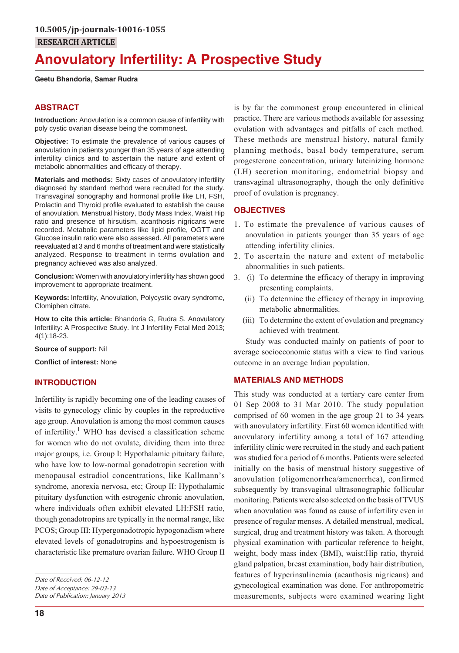# **Anovulatory Infertility: A Prospective Study**

#### **Geetu Bhandoria, Samar Rudra**

## **ABSTRACT**

**Introduction:** Anovulation is a common cause of infertility with poly cystic ovarian disease being the commonest.

**Objective:** To estimate the prevalence of various causes of anovulation in patients younger than 35 years of age attending infertility clinics and to ascertain the nature and extent of metabolic abnormalities and efficacy of therapy.

**Materials and methods:** Sixty cases of anovulatory infertility diagnosed by standard method were recruited for the study. Transvaginal sonography and hormonal profile like LH, FSH, Prolactin and Thyroid profile evaluated to establish the cause of anovulation. Menstrual history, Body Mass Index, Waist Hip ratio and presence of hirsutism, acanthosis nigricans were recorded. Metabolic parameters like lipid profile, OGTT and Glucose insulin ratio were also assessed. All parameters were reevaluated at 3 and 6 months of treatment and were statistically analyzed. Response to treatment in terms ovulation and pregnancy achieved was also analyzed.

**Conclusion:** Women with anovulatory infertility has shown good improvement to appropriate treatment.

**Keywords:** Infertility, Anovulation, Polycystic ovary syndrome, Clomiphen citrate.

**How to cite this article:** Bhandoria G, Rudra S. Anovulatory Infertility: A Prospective Study. Int J Infertility Fetal Med 2013; 4(1):18-23.

**Source of support:** Nil

**Conflict of interest:** None

## **INTRODUCTION**

Infertility is rapidly becoming one of the leading causes of visits to gynecology clinic by couples in the reproductive age group. Anovulation is among the most common causes of infertility.<sup>1</sup> WHO has devised a classification scheme for women who do not ovulate, dividing them into three major groups, i.e. Group I: Hypothalamic pituitary failure, who have low to low-normal gonadotropin secretion with menopausal estradiol concentrations, like Kallmann's syndrome, anorexia nervosa, etc; Group II: Hypothalamic pituitary dysfunction with estrogenic chronic anovulation, where individuals often exhibit elevated LH:FSH ratio, though gonadotropins are typically in the normal range, like PCOS; Group III: Hypergonadotropic hypogonadism where elevated levels of gonadotropins and hypoestrogenism is characteristic like premature ovarian failure. WHO Group II

*Date of Acceptance: 29-03-13 Date of Publication: January 2013* is by far the commonest group encountered in clinical practice. There are various methods available for assessing ovulation with advantages and pitfalls of each method. These methods are menstrual history, natural family planning methods, basal body temperature, serum progesterone concentration, urinary luteinizing hormone (LH) secretion monitoring, endometrial biopsy and transvaginal ultrasonography, though the only definitive proof of ovulation is pregnancy.

## **OBJECTIVES**

- 1. To estimate the prevalence of various causes of anovulation in patients younger than 35 years of age attending infertility clinics.
- 2. To ascertain the nature and extent of metabolic abnormalities in such patients.
- 3. (i) To determine the efficacy of therapy in improving presenting complaints.
	- (ii) To determine the efficacy of therapy in improving metabolic abnormalities.
	- (iii) To determine the extent of ovulation and pregnancy achieved with treatment.

Study was conducted mainly on patients of poor to average socioeconomic status with a view to find various outcome in an average Indian population.

## **MATERIALS AND METHODS**

This study was conducted at a tertiary care center from 01 Sep 2008 to 31 Mar 2010. The study population comprised of 60 women in the age group 21 to 34 years with anovulatory infertility. First 60 women identified with anovulatory infertility among a total of 167 attending infertility clinic were recruited in the study and each patient was studied for a period of 6 months. Patients were selected initially on the basis of menstrual history suggestive of anovulation (oligomenorrhea/amenorrhea), confirmed subsequently by transvaginal ultrasonographic follicular monitoring. Patients were also selected on the basis of TVUS when anovulation was found as cause of infertility even in presence of regular menses. A detailed menstrual, medical, surgical, drug and treatment history was taken. A thorough physical examination with particular reference to height, weight, body mass index (BMI), waist:Hip ratio, thyroid gland palpation, breast examination, body hair distribution, features of hyperinsulinemia (acanthosis nigricans) and gynecological examination was done. For anthropometric measurements, subjects were examined wearing light

*Date of Received: 06-12-12*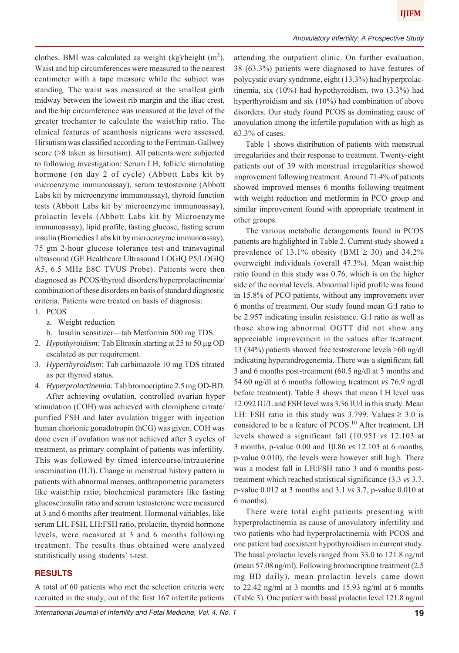clothes. BMI was calculated as weight  $(kg)/height (m<sup>2</sup>)$ . Waist and hip circumferences were measured to the nearest centimeter with a tape measure while the subject was standing. The waist was measured at the smallest girth midway between the lowest rib margin and the iliac crest, and the hip circumference was measured at the level of the greater trochanter to calculate the waist/hip ratio. The clinical features of acanthosis nigricans were assessed. Hirsutism was classified according to the Ferriman-Gallwey score (>8 taken as hirsutism). All patients were subjected to following investigation: Serum LH, follicle stimulating hormone (on day 2 of cycle) (Abbott Labs kit by microenzyme immunoassay), serum testosterone (Abbott Labs kit by microenzyme immunoassay), thyroid function tests (Abbott Labs kit by microenzyme immunoassay), prolactin levels (Abbott Labs kit by Microenzyme immunoassay), lipid profile, fasting glucose, fasting serum insulin (Biomedics Labs kit by microenzyme immunoassay), 75 gm 2-hour glucose tolerance test and transvaginal ultrasound (GE Healthcare Ultrasound LOGIQ P5/LOGIQ A5, 6.5 MHz E8C TVUS Probe). Patients were then diagnosed as PCOS/thyroid disorders/hyperprolactinemia/ combination of these disorders on basis of standard diagnostic criteria. Patients were treated on basis of diagnosis: 1. PCOS

- a. Weight reduction
- b. Insulin sensitizer—tab Metformin 500 mg TDS.
- 2. *Hypothyroidism:* Tab Eltroxin starting at 25 to 50 μg OD escalated as per requirement.
- 3. *Hyperthyroidism:* Tab carbimazole 10 mg TDS titrated as per thyroid status.

4. *Hyperprolactinemia:* Tab bromocriptine 2.5 mg OD-BD. After achieving ovulation, controlled ovarian hyper stimulation (COH) was achieved with clomiphene citrate/ purified FSH and later ovulation trigger with injection human chorionic gonadotropin (hCG) was given. COH was done even if ovulation was not achieved after 3 cycles of treatment, as primary complaint of patients was infertility. This was followed by timed intercourse/intrauterine insemination (IUI). Change in menstrual history pattern in patients with abnormal menses, anthropometric parameters like waist:hip ratio; biochemical parameters like fasting glucose:insulin ratio and serum testosterone were measured at 3 and 6 months after treatment. Hormonal variables, like serum LH, FSH, LH:FSH ratio, prolactin, thyroid hormone levels, were measured at 3 and 6 months following treatment. The results thus obtained were analyzed statitistically using students' t-test.

## **RESULTS**

A total of 60 patients who met the selection criteria were recruited in the study, out of the first 167 infertile patients

attending the outpatient clinic. On further evaluation, 38 (63.3%) patients were diagnosed to have features of polycystic ovary syndrome, eight (13.3%) had hyperprolactinemia, six (10%) had hypothyroidism, two (3.3%) had hyperthyroidism and six (10%) had combination of above disorders. Our study found PCOS as dominating cause of anovulation among the infertile population with as high as 63.3% of cases.

Table 1 shows distribution of patients with menstrual irregularities and their response to treatment. Twenty-eight patients out of 39 with menstrual irregularities showed improvement following treatment. Around 71.4% of patients showed improved menses 6 months following treatment with weight reduction and metformin in PCO group and similar improvement found with appropriate treatment in other groups.

The various metabolic derangements found in PCOS patients are highlighted in Table 2. Current study showed a prevalence of 13.1% obesity (BMI  $\geq$  30) and 34.2% overweight individuals (overall 47.3%). Mean waist:hip ratio found in this study was 0.76, which is on the higher side of the normal levels. Abnormal lipid profile was found in 15.8% of PCO patients, without any improvement over 6 months of treatment. Our study found mean G:I ratio to be 2.957 indicating insulin resistance. G:I ratio as well as those showing abnormal OGTT did not show any appreciable improvement in the values after treatment. 13 (34%) patients showed free testosterone levels >60 ng/dl indicating hyperandrogenemia. There was a significant fall 3 and 6 months post-treatment (60.5 ng/dl at 3 months and 54.60 ng/dl at 6 months following treatment *vs* 76.9 ng/dl before treatment). Table 3 shows that mean LH level was 12.092 IU/L and FSH level was 3.36 IU/l in this study. Mean LH: FSH ratio in this study was 3.799. Values  $\geq 3.0$  is considered to be a feature of PCOS.<sup>10</sup> After treatment, LH levels showed a significant fall (10.951 *vs* 12.103 at 3 months, p-value 0.00 and 10.86 *vs* 12.103 at 6 months, p-value 0.010), the levels were however still high. There was a modest fall in LH:FSH ratio 3 and 6 months posttreatment which reached statistical significance (3.3 *vs* 3.7, p-value 0.012 at 3 months and 3.1 *vs* 3.7, p-value 0.010 at 6 months).

There were total eight patients presenting with hyperprolactinemia as cause of anovulatory infertility and two patients who had hyperprolactinemia with PCOS and one patient had coexistent hypothyroidism in current study. The basal prolactin levels ranged from 33.0 to 121.8 ng/ml (mean 57.08 ng/ml). Following bromocriptine treatment (2.5 mg BD daily), mean prolactin levels came down to 22.42 ng/ml at 3 months and 15.93 ng/ml at 6 months (Table 3). One patient with basal prolactin level 121.8 ng/ml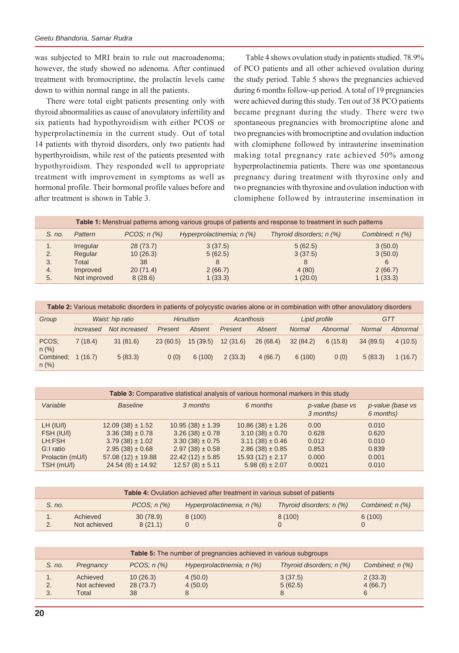was subjected to MRI brain to rule out macroadenoma; however, the study showed no adenoma. After continued treatment with bromocriptine, the prolactin levels came down to within normal range in all the patients.

There were total eight patients presenting only with thyroid abnormalities as cause of anovulatory infertility and six patients had hypothyroidism with either PCOS or hyperprolactinemia in the current study. Out of total 14 patients with thyroid disorders, only two patients had hyperthyroidism, while rest of the patients presented with hypothyroidism. They responded well to appropriate treatment with improvement in symptoms as well as hormonal profile. Their hormonal profile values before and after treatment is shown in Table 3.

Table 4 shows ovulation study in patients studied. 78.9% of PCO patients and all other achieved ovulation during the study period. Table 5 shows the pregnancies achieved during 6 months follow-up period. A total of 19 pregnancies were achieved during this study. Ten out of 38 PCO patients became pregnant during the study. There were two spontaneous pregnancies with bromocriptine alone and two pregnancies with bromocriptine and ovulation induction with clomiphene followed by intrauterine insemination making total pregnancy rate achieved 50% among hyperprolactinemia patients. There was one spontaneous pregnancy during treatment with thyroxine only and two pregnancies with thyroxine and ovulation induction with clomiphene followed by intrauterine insemination in

|          | Table 1: Menstrual patterns among various groups of patients and response to treatment in such patterns |                      |                           |                          |                      |  |  |
|----------|---------------------------------------------------------------------------------------------------------|----------------------|---------------------------|--------------------------|----------------------|--|--|
| S. no.   | Pattern                                                                                                 | $PCOS; n(\%)$        | Hyperprolactinemia; n (%) | Thyroid disorders; n (%) | Combined; $n$ $(\%)$ |  |  |
| 1.<br>2. | Irregular<br>Regular                                                                                    | 28(73.7)<br>10(26.3) | 3(37.5)<br>5(62.5)        | 5(62.5)<br>3(37.5)       | 3(50.0)<br>3(50.0)   |  |  |
| 3.       | Total                                                                                                   | 38                   |                           | 8                        | 6                    |  |  |
| 4.       | Improved                                                                                                | 20(71.4)             | 2(66.7)                   | 4(80)                    | 2(66.7)              |  |  |
| 5.       | Not improved                                                                                            | 8(28.6)              | 1(33.3)                   | 1(20.0)                  | 1(33.3)              |  |  |

| Table 2: Various metabolic disorders in patients of polycystic ovaries alone or in combination with other anovulatory disorders |                  |               |                  |          |            |          |               |          |            |          |
|---------------------------------------------------------------------------------------------------------------------------------|------------------|---------------|------------------|----------|------------|----------|---------------|----------|------------|----------|
| Group                                                                                                                           | Waist: hip ratio |               | <b>Hirsutism</b> |          | Acanthosis |          | Lipid profile |          | <b>GTT</b> |          |
|                                                                                                                                 | Increased        | Not increased | Present          | Absent   | Present    | Absent   | <b>Normal</b> | Abnormal | Normal     | Abnormal |
| PCOS:<br>$n$ (%)                                                                                                                | 7(18.4)          | 31(81.6)      | 23(60.5)         | 15(39.5) | 12(31.6)   | 26(68.4) | 32(84.2)      | 6(15.8)  | 34(89.5)   | 4(10.5)  |
| Combined:<br>$n$ (%)                                                                                                            | 1(16.7)          | 5(83.3)       | 0(0)             | 6(100)   | 2(33.3)    | 4(66.7)  | 6(100)        | 0(0)     | 5(83.3)    | 1(16.7)  |

| Table 3: Comparative statistical analysis of various hormonal markers in this study |                                                                                                                                            |                                                                                                                                          |                                                                                                                                         |                                                    |                                                    |  |  |  |
|-------------------------------------------------------------------------------------|--------------------------------------------------------------------------------------------------------------------------------------------|------------------------------------------------------------------------------------------------------------------------------------------|-----------------------------------------------------------------------------------------------------------------------------------------|----------------------------------------------------|----------------------------------------------------|--|--|--|
| Variable                                                                            | <b>Baseline</b>                                                                                                                            | 3 months                                                                                                                                 | 6 months                                                                                                                                | p-value (base vs<br>3 months)                      | p-value (base vs<br>6 months)                      |  |  |  |
| LH (IU/I)<br>FSH (IU/I)<br>LH:FSH<br>G:I ratio<br>Prolactin (mU/l)<br>TSH (mU/l)    | $12.09(38) \pm 1.52$<br>$3.36(38) \pm 0.78$<br>$3.79(38) \pm 1.02$<br>$2.95(38) \pm 0.68$<br>$57.08(12) \pm 19.88$<br>$24.54(8) \pm 14.92$ | $10.95(38) \pm 1.39$<br>$3.26(38) \pm 0.78$<br>$3.30(38) \pm 0.75$<br>$2.97(38) \pm 0.58$<br>$22.42(12) \pm 5.85$<br>$12.57(8) \pm 5.11$ | $10.86(38) \pm 1.26$<br>$3.10(38) \pm 0.70$<br>$3.11(38) \pm 0.46$<br>$2.86(38) \pm 0.85$<br>$15.93(12) \pm 2.17$<br>$5.98(8) \pm 2.07$ | 0.00<br>0.628<br>0.012<br>0.853<br>0.000<br>0.0021 | 0.010<br>0.620<br>0.010<br>0.839<br>0.001<br>0.010 |  |  |  |

| <b>Table 4:</b> Ovulation achieved after treatment in various subset of patients |                          |                     |                             |                          |                      |  |
|----------------------------------------------------------------------------------|--------------------------|---------------------|-----------------------------|--------------------------|----------------------|--|
| S. no.                                                                           |                          | $PCOS: n(\%)$       | Hyperprolactinemia; $n$ (%) | Thyroid disorders; n (%) | Combined; $n$ $(\%)$ |  |
| . .<br>2.                                                                        | Achieved<br>Not achieved | 30(78.9)<br>8(21.1) | 8(100)                      | 8(100)                   | 6(100)               |  |

|          | <b>Table 5:</b> The number of pregnancies achieved in various subgroups |                            |                           |                          |                         |  |  |
|----------|-------------------------------------------------------------------------|----------------------------|---------------------------|--------------------------|-------------------------|--|--|
| S. no.   | Pregnancy                                                               | $PCOS: n(\%)$              | Hyperprolactinemia; n (%) | Thyroid disorders; n (%) | Combined: $n$ $(\%)$    |  |  |
| 2.<br>3. | Achieved<br>Not achieved<br>Total                                       | 10(26.3)<br>28(73.7)<br>38 | 4(50.0)<br>4(50.0)        | 3(37.5)<br>5(62.5)       | 2(33.3)<br>4(66.7)<br>6 |  |  |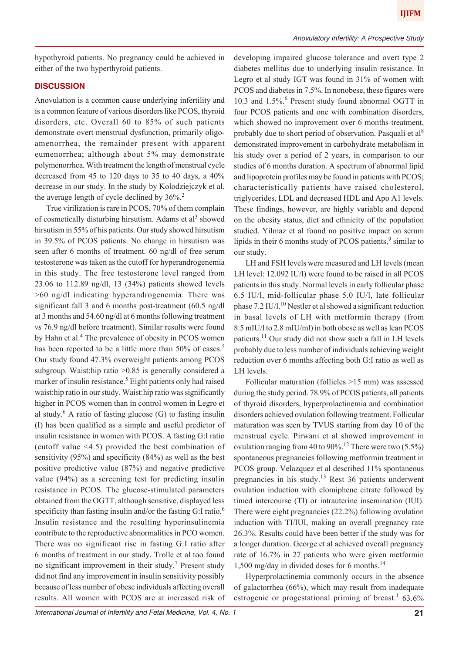hypothyroid patients. No pregnancy could be achieved in either of the two hyperthyroid patients.

## **DISCUSSION**

Anovulation is a common cause underlying infertility and is a common feature of various disorders like PCOS, thyroid disorders, etc. Overall 60 to 85% of such patients demonstrate overt menstrual dysfunction, primarily oligoamenorrhea, the remainder present with apparent eumenorrhea; although about 5% may demonstrate polymenorrhea. With treatment the length of menstrual cycle decreased from 45 to 120 days to 35 to 40 days, a 40% decrease in our study. In the study by Kolodziejczyk et al, the average length of cycle declined by  $36\%$ <sup>2</sup>

True virilization is rare in PCOS, 70% of them complain of cosmetically disturbing hirsutism. Adams et al<sup>3</sup> showed hirsutism in 55% of his patients. Our study showed hirsutism in 39.5% of PCOS patients. No change in hirsutism was seen after 6 months of treatment. 60 ng/dl of free serum testosterone was taken as the cutoff for hyperandrogenemia in this study. The free testosterone level ranged from 23.06 to 112.89 ng/dl, 13 (34%) patients showed levels >60 ng/dl indicating hyperandrogenemia. There was significant fall 3 and 6 months post-treatment (60.5 ng/dl at 3 months and 54.60 ng/dl at 6 months following treatment *vs* 76.9 ng/dl before treatment). Similar results were found by Hahn et al.<sup>4</sup> The prevalence of obesity in PCOS women has been reported to be a little more than 50% of cases.<sup>5</sup> Our study found 47.3% overweight patients among PCOS subgroup. Waist:hip ratio > 0.85 is generally considered a marker of insulin resistance.<sup>5</sup> Eight patients only had raised waist:hip ratio in our study. Waist:hip ratio was significantly higher in PCOS women than in control women in Legro et al study. $6$  A ratio of fasting glucose (G) to fasting insulin (I) has been qualified as a simple and useful predictor of insulin resistance in women with PCOS. A fasting G:I ratio (cutoff value <4.5) provided the best combination of sensitivity (95%) and specificity (84%) as well as the best positive predictive value (87%) and negative predictive value (94%) as a screening test for predicting insulin resistance in PCOS. The glucose-stimulated parameters obtained from the OGTT, although sensitive, displayed less specificity than fasting insulin and/or the fasting G:I ratio.<sup>6</sup> Insulin resistance and the resulting hyperinsulinemia contribute to the reproductive abnormalities in PCO women. There was no significant rise in fasting G:I ratio after 6 months of treatment in our study. Trolle et al too found no significant improvement in their study.<sup>7</sup> Present study did not find any improvement in insulin sensitivity possibly because of less number of obese individuals affecting overall results. All women with PCOS are at increased risk of developing impaired glucose tolerance and overt type 2 diabetes mellitus due to underlying insulin resistance. In Legro et al study IGT was found in 31% of women with PCOS and diabetes in 7.5%. In nonobese, these figures were 10.3 and 1.5%.6 Present study found abnormal OGTT in four PCOS patients and one with combination disorders, which showed no improvement over 6 months treatment, probably due to short period of observation. Pasquali et al<sup>8</sup> demonstrated improvement in carbohydrate metabolism in his study over a period of 2 years, in comparison to our studies of 6 months duration. A spectrum of abnormal lipid and lipoprotein profiles may be found in patients with PCOS; characteristically patients have raised cholesterol, triglycerides, LDL and decreased HDL and Apo A1 levels. These findings, however, are highly variable and depend on the obesity status, diet and ethnicity of the population studied. Yilmaz et al found no positive impact on serum lipids in their 6 months study of PCOS patients, $9$  similar to our study.

LH and FSH levels were measured and LH levels (mean LH level: 12.092 IU/l) were found to be raised in all PCOS patients in this study. Normal levels in early follicular phase 6.5 IU/l, mid-follicular phase 5.0 IU/l, late follicular phase  $7.2$  IU/l.<sup>10</sup> Nestler et al showed a significant reduction in basal levels of LH with metformin therapy (from 8.5 mIU/l to 2.8 mIU/ml) in both obese as well as lean PCOS patients.11 Our study did not show such a fall in LH levels probably due to less number of individuals achieving weight reduction over 6 months affecting both G:I ratio as well as LH levels.

Follicular maturation (follicles >15 mm) was assessed during the study period. 78.9% of PCOS patients, all patients of thyroid disorders, hyperprolactinemia and combination disorders achieved ovulation following treatment. Follicular maturation was seen by TVUS starting from day 10 of the menstrual cycle. Pirwani et al showed improvement in ovulation ranging from 40 to 90%.<sup>12</sup> There were two  $(5.5\%)$ spontaneous pregnancies following metformin treatment in PCOS group. Velazquez et al described 11% spontaneous pregnancies in his study.<sup>13</sup> Rest 36 patients underwent ovulation induction with clomiphene citrate followed by timed intercourse (TI) or intrauterine insemination (IUI). There were eight pregnancies (22.2%) following ovulation induction with TI/IUI, making an overall pregnancy rate 26.3%. Results could have been better if the study was for a longer duration. George et al achieved overall pregnancy rate of 16.7% in 27 patients who were given metformin 1,500 mg/day in divided doses for 6 months.14

Hyperprolactinemia commonly occurs in the absence of galactorrhea (66%), which may result from inadequate estrogenic or progestational priming of breast.<sup>1</sup> 63.6%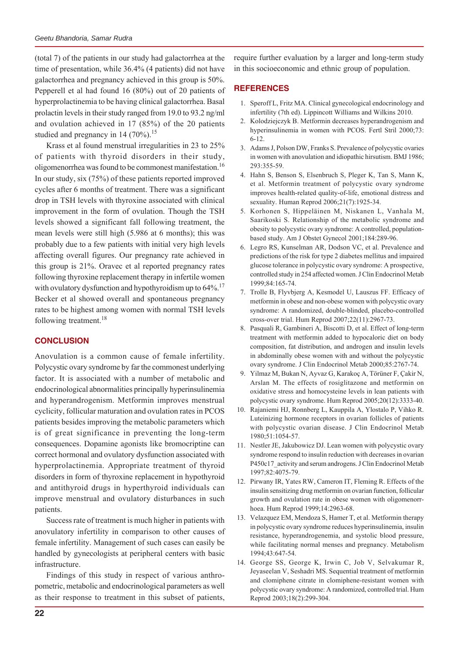(total 7) of the patients in our study had galactorrhea at the time of presentation, while 36.4% (4 patients) did not have galactorrhea and pregnancy achieved in this group is 50%. Pepperell et al had found 16 (80%) out of 20 patients of hyperprolactinemia to be having clinical galactorrhea. Basal prolactin levels in their study ranged from 19.0 to 93.2 ng/ml and ovulation achieved in 17 (85%) of the 20 patients studied and pregnancy in 14  $(70\%)$ .<sup>15</sup>

Krass et al found menstrual irregularities in 23 to 25% of patients with thyroid disorders in their study, oligomenorrhea was found to be commonest manifestation.16 In our study, six (75%) of these patients reported improved cycles after 6 months of treatment. There was a significant drop in TSH levels with thyroxine associated with clinical improvement in the form of ovulation. Though the TSH levels showed a significant fall following treatment, the mean levels were still high (5.986 at 6 months); this was probably due to a few patients with initial very high levels affecting overall figures. Our pregnancy rate achieved in this group is 21%. Oravec et al reported pregnancy rates following thyroxine replacement therapy in infertile women with ovulatory dysfunction and hypothyroidism up to  $64\%$ <sup>17</sup> Becker et al showed overall and spontaneous pregnancy rates to be highest among women with normal TSH levels following treatment.<sup>18</sup>

# **CONCLUSION**

Anovulation is a common cause of female infertility. Polycystic ovary syndrome by far the commonest underlying factor. It is associated with a number of metabolic and endocrinological abnormalities principally hyperinsulinemia and hyperandrogenism. Metformin improves menstrual cyclicity, follicular maturation and ovulation rates in PCOS patients besides improving the metabolic parameters which is of great significance in preventing the long-term consequences. Dopamine agonists like bromocriptine can correct hormonal and ovulatory dysfunction associated with hyperprolactinemia. Appropriate treatment of thyroid disorders in form of thyroxine replacement in hypothyroid and antithyroid drugs in hyperthyroid individuals can improve menstrual and ovulatory disturbances in such patients.

Success rate of treatment is much higher in patients with anovulatory infertility in comparison to other causes of female infertility. Management of such cases can easily be handled by gynecologists at peripheral centers with basic infrastructure.

Findings of this study in respect of various anthropometric, metabolic and endocrinological parameters as well as their response to treatment in this subset of patients,

require further evaluation by a larger and long-term study in this socioeconomic and ethnic group of population.

## **REFERENCES**

- 1. Speroff L, Fritz MA. Clinical gynecological endocrinology and infertility (7th ed). Lippincott Williams and Wilkins 2010.
- 2. Kolodziejczyk B. Metformin decreases hyperandrogenism and hyperinsulinemia in women with PCOS. Fertl Stril 2000;73: 6-12.
- 3. Adams J, Polson DW, Franks S. Prevalence of polycystic ovaries in women with anovulation and idiopathic hirsutism. BMJ 1986; 293:355-59.
- 4. Hahn S, Benson S, Elsenbruch S, Pleger K, Tan S, Mann K, et al. Metformin treatment of polycystic ovary syndrome improves health-related quality-of-life, emotional distress and sexuality. Human Reprod 2006;21(7):1925-34.
- 5. Korhonen S, Hippeläinen M, Niskanen L, Vanhala M, Saarikoski S. Relationship of the metabolic syndrome and obesity to polycystic ovary syndrome: A controlled, populationbased study. Am J Obstet Gynecol 2001;184:289-96.
- 6. Legro RS, Kunselman AR, Dodson VC, et al. Prevalence and predictions of the risk for type 2 diabetes mellitus and impaired glucose tolerance in polycystic ovary syndrome: A prospective, controlled study in 254 affected women. J Clin Endocrinol Metab 1999;84:165-74.
- 7. Trolle B, Flyvbjerg A, Kesmodel U, Lauszus FF. Efficacy of metformin in obese and non-obese women with polycystic ovary syndrome: A randomized, double-blinded, placebo-controlled cross-over trial. Hum Reprod 2007;22(11):2967-73.
- 8. Pasquali R, Gambineri A, Biscotti D, et al. Effect of long-term treatment with metformin added to hypocaloric diet on body composition, fat distribution, and androgen and insulin levels in abdominally obese women with and without the polycystic ovary syndrome. J Clin Endocrinol Metab 2000;85:2767-74.
- 9. Yilmaz M, Bukan N, Ayvaz G, Karakoç A, Törüner F, Çakir N, Arslan M. The effects of rosiglitazone and metformin on oxidative stress and homocysteine levels in lean patients with polycystic ovary syndrome. Hum Reprod 2005;20(12):3333-40.
- 10. Rajaniemi HJ, Ronnberg L, Kauppila A, Ylostalo P, Vihko R. Luteinizing hormone receptors in ovarian follicles of patients with polycystic ovarian disease. J Clin Endocrinol Metab 1980;51:1054-57.
- 11. Nestler JE, Jakubowicz DJ. Lean women with polycystic ovary syndrome respond to insulin reduction with decreases in ovarian P450c17\_activity and serum androgens. J Clin Endocrinol Metab 1997;82:4075-79.
- 12. Pirwany IR, Yates RW, Cameron IT, Fleming R. Effects of the insulin sensitizing drug metformin on ovarian function, follicular growth and ovulation rate in obese women with oligomenorrhoea. Hum Reprod 1999;14:2963-68.
- 13. Velazquez EM, Mendoza S, Hamer T, et al. Metformin therapy in polycystic ovary syndrome reduces hyperinsulinemia, insulin resistance, hyperandrogenemia, and systolic blood pressure, while facilitating normal menses and pregnancy. Metabolism 1994;43:647-54.
- 14. George SS, George K, Irwin C, Job V, Selvakumar R, Jeyaseelan V, Seshadri MS. Sequential treatment of metformin and clomiphene citrate in clomiphene-resistant women with polycystic ovary syndrome: A randomized, controlled trial. Hum Reprod 2003;18(2):299-304.